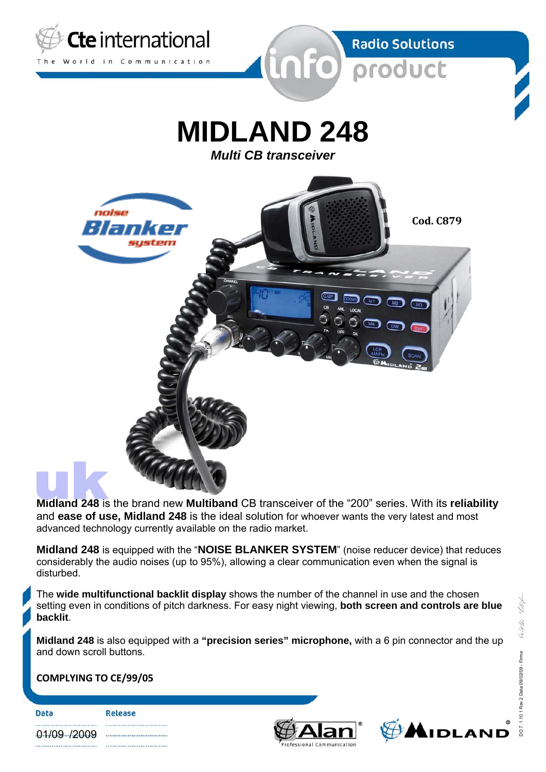

**Radio Solutions** info product



*Multi CB transceiver* 



**Midland 248** is the brand new **Multiband** CB transceiver of the "200" series. With its **reliability** and **ease of use, Midland 248** is the ideal solution for whoever wants the very latest and most advanced technology currently available on the radio market.

**Midland 248** is equipped with the "**NOISE BLANKER SYSTEM**" (noise reducer device) that reduces considerably the audio noises (up to 95%), allowing a clear communication even when the signal is disturbed.

The **wide multifunctional backlit display** shows the number of the channel in use and the chosen setting even in conditions of pitch darkness. For easy night viewing, **both screen and controls are blue backlit**.

**Midland 248** is also equipped with a **"precision series" microphone,** with a 6 pin connector and the up and down scroll buttons.

### **COMPLYING TO CE/99/05**

| <b>Data</b> | Release                                         |
|-------------|-------------------------------------------------|
|             |                                                 |
| 01/09 /2009 | 1. New York of East Make a great product of the |
|             |                                                 |